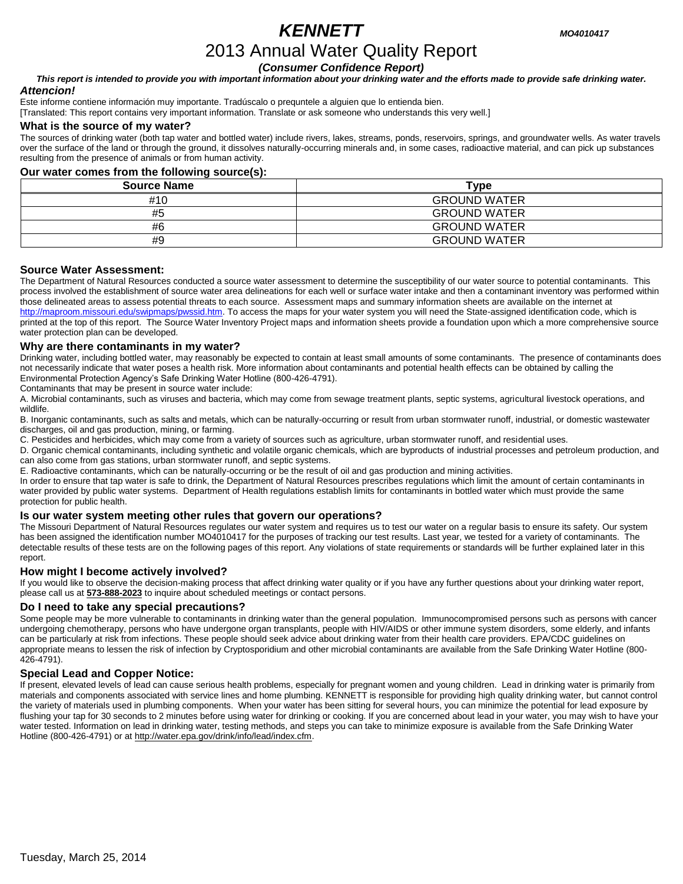# *KENNETT MO4010417*

# 2013 Annual Water Quality Report

*(Consumer Confidence Report)*

*This report is intended to provide you with important information about your drinking water and the efforts made to provide safe drinking water. Attencion!*

Este informe contiene información muy importante. Tradúscalo o prequntele a alguien que lo entienda bien.

[Translated: This report contains very important information. Translate or ask someone who understands this very well.]

#### **What is the source of my water?**

The sources of drinking water (both tap water and bottled water) include rivers, lakes, streams, ponds, reservoirs, springs, and groundwater wells. As water travels over the surface of the land or through the ground, it dissolves naturally-occurring minerals and, in some cases, radioactive material, and can pick up substances resulting from the presence of animals or from human activity.

### **Our water comes from the following source(s):**

| <b>Source Name</b> | ⊺vpe                |
|--------------------|---------------------|
| #10                | <b>GROUND WATER</b> |
| #5                 | <b>GROUND WATER</b> |
| #6                 | <b>GROUND WATER</b> |
| #9                 | <b>GROUND WATER</b> |

#### **Source Water Assessment:**

The Department of Natural Resources conducted a source water assessment to determine the susceptibility of our water source to potential contaminants. This process involved the establishment of source water area delineations for each well or surface water intake and then a contaminant inventory was performed within those delineated areas to assess potential threats to each source. Assessment maps and summary information sheets are available on the internet at [http://maproom.missouri.edu/swipmaps/pwssid.htm.](http://maproom.missouri.edu/swipmaps/pwssid.htm) To access the maps for your water system you will need the State-assigned identification code, which is printed at the top of this report. The Source Water Inventory Project maps and information sheets provide a foundation upon which a more comprehensive source water protection plan can be developed.

#### **Why are there contaminants in my water?**

Drinking water, including bottled water, may reasonably be expected to contain at least small amounts of some contaminants. The presence of contaminants does not necessarily indicate that water poses a health risk. More information about contaminants and potential health effects can be obtained by calling the Environmental Protection Agency's Safe Drinking Water Hotline (800-426-4791).

Contaminants that may be present in source water include:

A. Microbial contaminants, such as viruses and bacteria, which may come from sewage treatment plants, septic systems, agricultural livestock operations, and wildlife.

B. Inorganic contaminants, such as salts and metals, which can be naturally-occurring or result from urban stormwater runoff, industrial, or domestic wastewater discharges, oil and gas production, mining, or farming.

C. Pesticides and herbicides, which may come from a variety of sources such as agriculture, urban stormwater runoff, and residential uses.

D. Organic chemical contaminants, including synthetic and volatile organic chemicals, which are byproducts of industrial processes and petroleum production, and can also come from gas stations, urban stormwater runoff, and septic systems.

E. Radioactive contaminants, which can be naturally-occurring or be the result of oil and gas production and mining activities.

In order to ensure that tap water is safe to drink, the Department of Natural Resources prescribes regulations which limit the amount of certain contaminants in water provided by public water systems. Department of Health regulations establish limits for contaminants in bottled water which must provide the same protection for public health.

### **Is our water system meeting other rules that govern our operations?**

The Missouri Department of Natural Resources regulates our water system and requires us to test our water on a regular basis to ensure its safety. Our system has been assigned the identification number MO4010417 for the purposes of tracking our test results. Last year, we tested for a variety of contaminants. The detectable results of these tests are on the following pages of this report. Any violations of state requirements or standards will be further explained later in this report.

#### **How might I become actively involved?**

If you would like to observe the decision-making process that affect drinking water quality or if you have any further questions about your drinking water report, please call us at **573-888-2023** to inquire about scheduled meetings or contact persons.

### **Do I need to take any special precautions?**

Some people may be more vulnerable to contaminants in drinking water than the general population. Immunocompromised persons such as persons with cancer undergoing chemotherapy, persons who have undergone organ transplants, people with HIV/AIDS or other immune system disorders, some elderly, and infants can be particularly at risk from infections. These people should seek advice about drinking water from their health care providers. EPA/CDC guidelines on appropriate means to lessen the risk of infection by Cryptosporidium and other microbial contaminants are available from the Safe Drinking Water Hotline (800- 426-4791).

### **Special Lead and Copper Notice:**

If present, elevated levels of lead can cause serious health problems, especially for pregnant women and young children. Lead in drinking water is primarily from materials and components associated with service lines and home plumbing. KENNETT is responsible for providing high quality drinking water, but cannot control the variety of materials used in plumbing components. When your water has been sitting for several hours, you can minimize the potential for lead exposure by flushing your tap for 30 seconds to 2 minutes before using water for drinking or cooking. If you are concerned about lead in your water, you may wish to have your water tested. Information on lead in drinking water, testing methods, and steps you can take to minimize exposure is available from the Safe Drinking Water Hotline (800-426-4791) or a[t http://water.epa.gov/drink/info/lead/index.cfm.](http://water.epa.gov/drink/info/lead/index.cfm)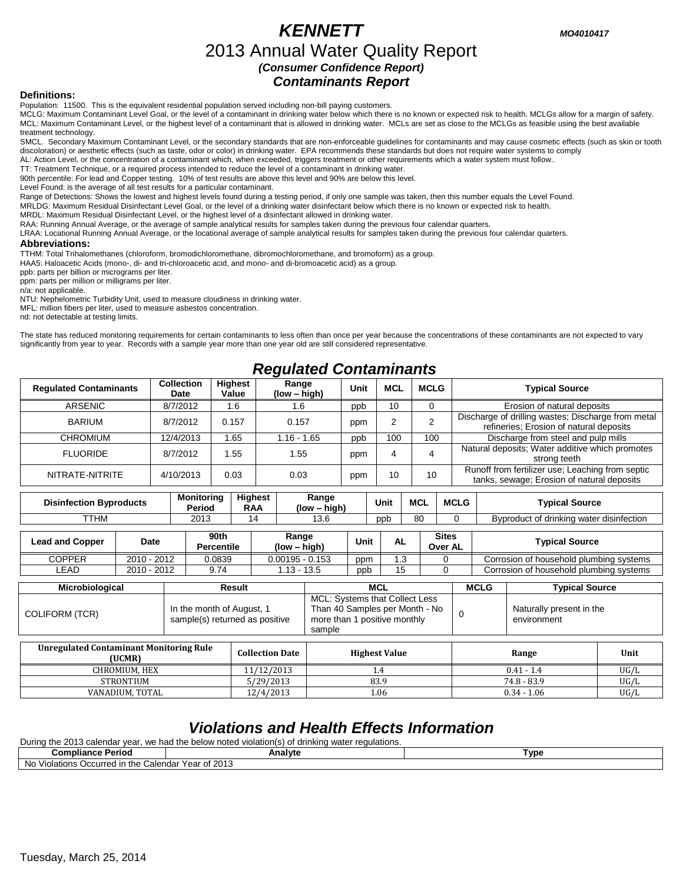# *KENNETT MO4010417* 2013 Annual Water Quality Report *(Consumer Confidence Report) Contaminants Report*

#### **Definitions:**

Population: 11500. This is the equivalent residential population served including non-bill paying customers.

MCLG: Maximum Contaminant Level Goal, or the level of a contaminant in drinking water below which there is no known or expected risk to health. MCLGs allow for a margin of safety. MCL: Maximum Contaminant Level, or the highest level of a contaminant that is allowed in drinking water. MCLs are set as close to the MCLGs as feasible using the best available treatment technology.

SMCL. Secondary Maximum Contaminant Level, or the secondary standards that are non-enforceable guidelines for contaminants and may cause cosmetic effects (such as skin or tooth discoloration) or aesthetic effects (such as taste, odor or color) in drinking water. EPA recommends these standards but does not require water systems to comply AL: Action Level, or the concentration of a contaminant which, when exceeded, triggers treatment or other requirements which a water system must follow..

TT: Treatment Technique, or a required process intended to reduce the level of a contaminant in drinking water.

90th percentile: For lead and Copper testing. 10% of test results are above this level and 90% are below this level.

Level Found: is the average of all test results for a particular contaminant.

Range of Detections: Shows the lowest and highest levels found during a testing period, if only one sample was taken, then this number equals the Level Found.

MRLDG: Maximum Residual Disinfectant Level Goal, or the level of a drinking water disinfectant below which there is no known or expected risk to health.

MRDL: Maximum Residual Disinfectant Level, or the highest level of a disinfectant allowed in drinking water.

RAA: Running Annual Average, or the average of sample analytical results for samples taken during the previous four calendar quarters.

LRAA: Locational Running Annual Average, or the locational average of sample analytical results for samples taken during the previous four calendar quarters.

#### **Abbreviations:**

TTHM: Total Trihalomethanes (chloroform, bromodichloromethane, dibromochloromethane, and bromoform) as a group.

HAA5: Haloacetic Acids (mono-, di- and tri-chloroacetic acid, and mono- and di-bromoacetic acid) as a group.

ppb: parts per billion or micrograms per liter.

ppm: parts per million or milligrams per liter.

n/a: not applicable.

NTU: Nephelometric Turbidity Unit, used to measure cloudiness in drinking water.

MFL: million fibers per liter, used to measure asbestos concentration.

nd: not detectable at testing limits.

The state has reduced monitoring requirements for certain contaminants to less often than once per year because the concentrations of these contaminants are not expected to vary significantly from year to year. Records with a sample year more than one year old are still considered representative.

## *Regulated Contaminants*

| <b>Regulated Contaminants</b> | <b>Collection</b><br>Date | Highest<br>Value | Range<br>(low – high) | Unit | <b>MCL</b> | <b>MCLG</b> | <b>Typical Source</b>                                                                          |
|-------------------------------|---------------------------|------------------|-----------------------|------|------------|-------------|------------------------------------------------------------------------------------------------|
| <b>ARSENIC</b>                | 8/7/2012                  | 1.6              | 1.6                   | ppb  | 10         |             | Erosion of natural deposits                                                                    |
| BARIUM                        | 8/7/2012                  | 0.157            | 0.157                 | ppm  |            |             | Discharge of drilling wastes; Discharge from metal<br>refineries; Erosion of natural deposits  |
| <b>CHROMIUM</b>               | 12/4/2013                 | 1.65             | $1.16 - 1.65$         | ppb  | 100        | 100         | Discharge from steel and pulp mills                                                            |
| <b>FLUORIDE</b>               | 8/7/2012                  | 1.55             | 1.55                  | ppm  |            | 4           | Natural deposits; Water additive which promotes<br>strong teeth                                |
| NITRATE-NITRITE               | 4/10/2013                 | 0.03             | 0.03                  | ppm  | 10         | 10          | Runoff from fertilizer use: Leaching from septic<br>tanks, sewage; Erosion of natural deposits |

| <b>Disinfection Byproducts</b> | Monitoring<br>Period | <b>Highest</b><br><b>RAA</b> | Range<br>(low<br>- hiar | Unit | <b>MCL</b> | <b>MCLG</b> | Tvpical Source                           |
|--------------------------------|----------------------|------------------------------|-------------------------|------|------------|-------------|------------------------------------------|
| <b>TTHM</b>                    | 2015<br>20 I J       |                              | -3.0                    | ppt  | 80         |             | Byproduct of drinking water disinfection |

| Lead and Copper | Date        | 90th<br><b>Percentile</b> | Range<br>(low – high) | Unit | . .<br>AL | <b>Sites</b><br>Over AL | <b>Typical Source</b>                   |
|-----------------|-------------|---------------------------|-----------------------|------|-----------|-------------------------|-----------------------------------------|
| COPPER          | 2010 - 2012 | 0.0839                    | $0.00195 - 0.153$     | ppm  | ົ<br>ن.   |                         | Corrosion of household plumbing systems |
| LEAD            | 2010 - 2012 | 9.74                      | $.13 - 13.5$          | ppp  | 15        |                         | Corrosion of household plumbing systems |

| <b>Microbiological</b> | Result                                                      | MCL                                                                                                        | <b>MCLG</b> | <b>Typical Source</b>                   |
|------------------------|-------------------------------------------------------------|------------------------------------------------------------------------------------------------------------|-------------|-----------------------------------------|
| COLIFORM (TCR)         | In the month of August, 1<br>sample(s) returned as positive | MCL: Systems that Collect Less<br>Than 40 Samples per Month - No<br>more than 1 positive monthly<br>sample |             | Naturally present in the<br>environment |

| <b>Unregulated Contaminant Monitoring Rule</b><br>(UCMR) | <b>Collection Date</b> | <b>Highest Value</b> | Range         | Unit |
|----------------------------------------------------------|------------------------|----------------------|---------------|------|
| CHROMIUM. HEX                                            | 11/12/2013             |                      | $0.41 - 1.4$  | UG/L |
| <b>STRONTIUM</b>                                         | 5/29/2013              | 83.9                 | 74.8 - 83.9   | UG/L |
| VANADIUM, TOTAL                                          | 12/4/2013              | 06                   | $0.34 - 1.06$ | UG/L |

## *Violations and Health Effects Information*

During the 2013 calendar year, we had the below noted violation(s) of drinking water regulations.

| Compliance l<br>Period                                        |                          | Analyte       | vpe |  |  |
|---------------------------------------------------------------|--------------------------|---------------|-----|--|--|
| <br>: Occurred in the<br><b>10</b><br>∠ Violations O∩<br>ING. | Calendar<br>Year<br>. of | ാവ-<br>20 I J |     |  |  |